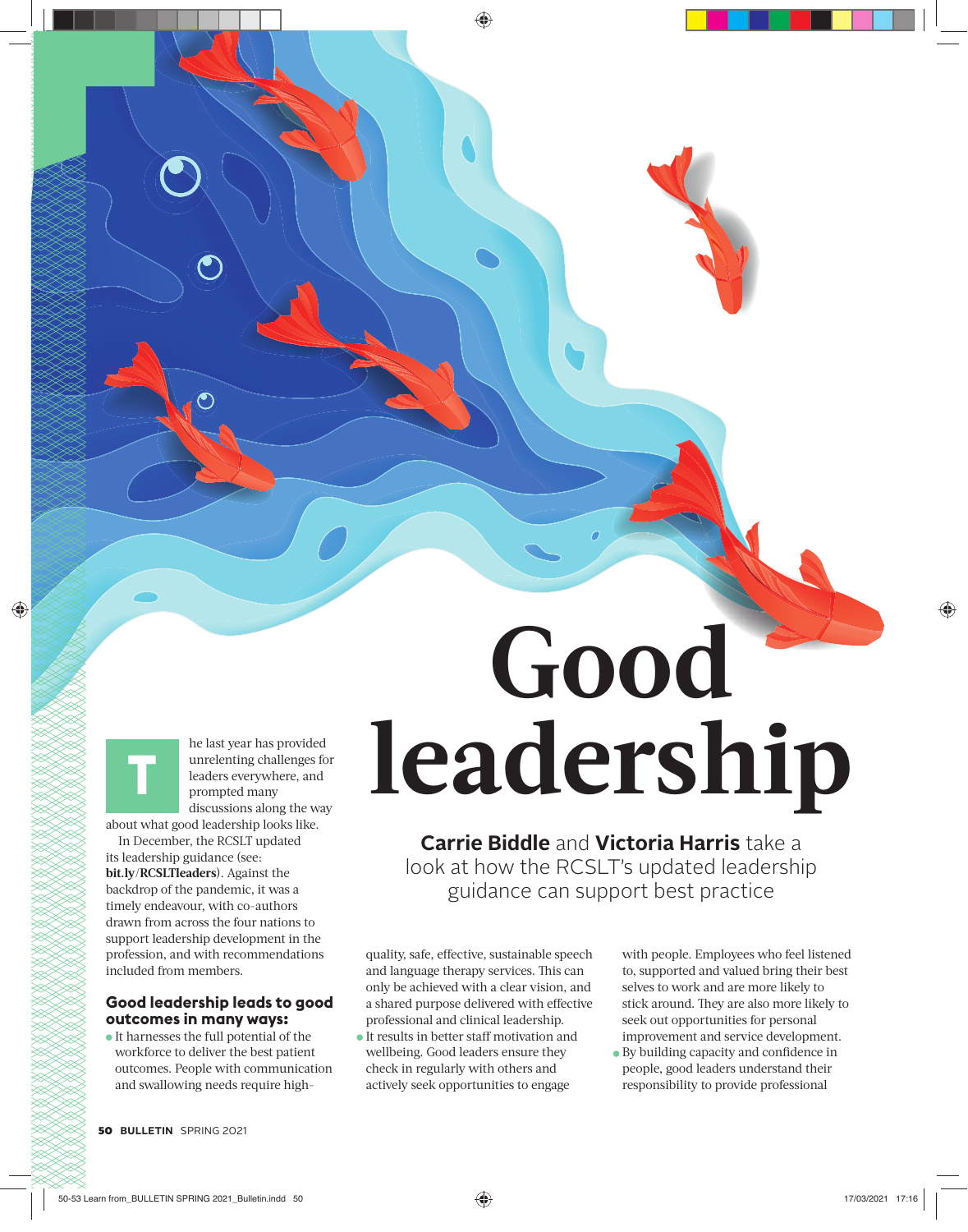he last year has provided unrelenting challenges for leaders everywhere, and prompted many discussions along the way

about what good leadership looks like. In December, the RCSLT updated

**T**

its leadership guidance (see: **bit.ly/RCSLTleaders**). Against the backdrop of the pandemic, it was a timely endeavour, with co-authors drawn from across the four nations to support leadership development in the profession, and with recommendations included from members.

#### **Good leadership leads to good outcomes in many ways:**

It harnesses the full potential of the workforce to deliver the best patient outcomes. People with communication and swallowing needs require high-

# **Good leadership**

**Carrie Biddle** and **Victoria Harris** take a look at how the RCSLT's updated leadership guidance can support best practice

quality, safe, effective, sustainable speech and language therapy services. This can only be achieved with a clear vision, and a shared purpose delivered with effective professional and clinical leadership.

It results in better staff motivation and wellbeing. Good leaders ensure they check in regularly with others and actively seek opportunities to engage

with people. Employees who feel listened to, supported and valued bring their best selves to work and are more likely to stick around. They are also more likely to seek out opportunities for personal improvement and service development.

 $\bullet$  By building capacity and confidence in people, good leaders understand their responsibility to provide professional